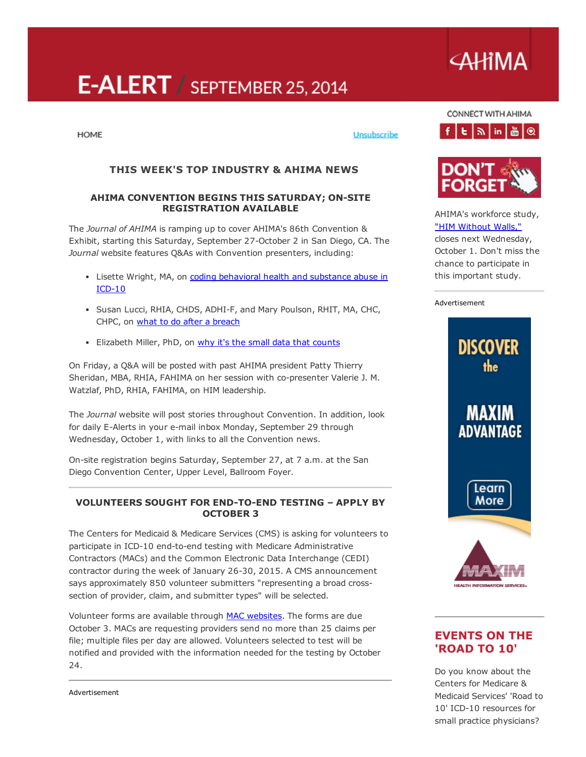# E-ALERT / SEPTEMBER 25, 2014

# **AHIMA**

CONNECT WITH AHIMA  $f|E|\gg |in|\triangle|\mathcal{Q}|$ 

**HOME** 

Unsubscribe

# THIS WEEK'S TOP INDUSTRY & AHIMA NEWS

#### AHIMA CONVENTION BEGINS THIS SATURDAY; ON-SITE REGISTRATION AVAILABLE

The *Journal of AHIMA* is ramping up to cover AHIMA's 86th Convention & Exhibit, starting this Saturday, September 27-October 2 in San Diego, CA. The *Journal* website features Q&As with Convention presenters, including:

- Lisette Wright, MA, on coding [behavioral](http://journal.ahima.org/2014/09/17/convention-qa-presenter-explains-the-challenges-of-icd-10-and-dsm-5/) health and substance abuse in  $ICD-10$
- Susan Lucci, RHIA, CHDS, ADHI-F, and Mary Poulson, RHIT, MA, CHC, CHPC, on what to do after a [breach](http://journal.ahima.org/2014/09/19/convention-qa-managing-in-the-wake-of-a-breach/)
- Elizabeth Miller, PhD, on why it's the small data that [counts](http://journal.ahima.org/?p=10160)

On Friday, a Q&A will be posted with past AHIMA president Patty Thierry Sheridan, MBA, RHIA, FAHIMA on her session with co-presenter Valerie J. M. Watzlaf, PhD, RHIA, FAHIMA, on HIM leadership.

The *Journal* website will post stories throughout Convention. In addition, look for daily E-Alerts in your e-mail inbox Monday, September 29 through Wednesday, October 1, with links to all the Convention news.

On-site registration begins Saturday, September 27, at 7 a.m. at the San Diego Convention Center, Upper Level, Ballroom Foyer.

#### VOLUNTEERS SOUGHT FOR END-TO-END TESTING - APPLY BY OCTOBER 3

The Centers for Medicaid & Medicare Services (CMS) is asking for volunteers to participate in ICD-10 end-to-end testing with Medicare Administrative Contractors (MACs) and the Common Electronic Data Interchange (CEDI) contractor during the week of January 26-30, 2015. A CMS announcement says approximately 850 volunteer submitters "representing a broad crosssection of provider, claim, and submitter types" will be selected.

Volunteer forms are available through MAC [websites.](http://links.govdelivery.com/track?type=click&enid=ZWFzPTEmbWFpbGluZ2lkPTIwMTQwOTE5LjM2MTM2NzgxJm1lc3NhZ2VpZD1NREItUFJELUJVTC0yMDE0MDkxOS4zNjEzNjc4MSZkYXRhYmFzZWlkPTEwMDEmc2VyaWFsPTE3MjA1NjAzJmVtYWlsaWQ9Q2xhaXJlLnNpbW9uQGtldGNodW0uY29tJnVzZXJpZD1DbGFpcmUuc2ltb25Aa2V0Y2h1bS5jb20mZmw9JmV4dHJhPU11bHRpdmFyaWF0ZUlkPSYmJg==&&&100&&&http://www.cms.gov/Research-Statistics-Data-and-Systems/Monitoring-Programs/provider-compliance-interactive-map/index.html) The forms are due October 3. MACs are requesting providers send no more than 25 claims per file; multiple files per day are allowed. Volunteers selected to test will be notified and provided with the information needed for the testing by October 24.



AHIMA's workforce study, "HIM [Without](https://ahimastudy.questionpro.com/) Walls,"

closes next Wednesday, October 1. Don't miss the chance to participate in this important study.

#### Advertisement



# EVENTS ON THE 'ROAD TO 10'

Do you know about the Centers for Medicare & Medicaid Services' 'Road to 10' ICD-10 resources for small practice physicians?

Advertisement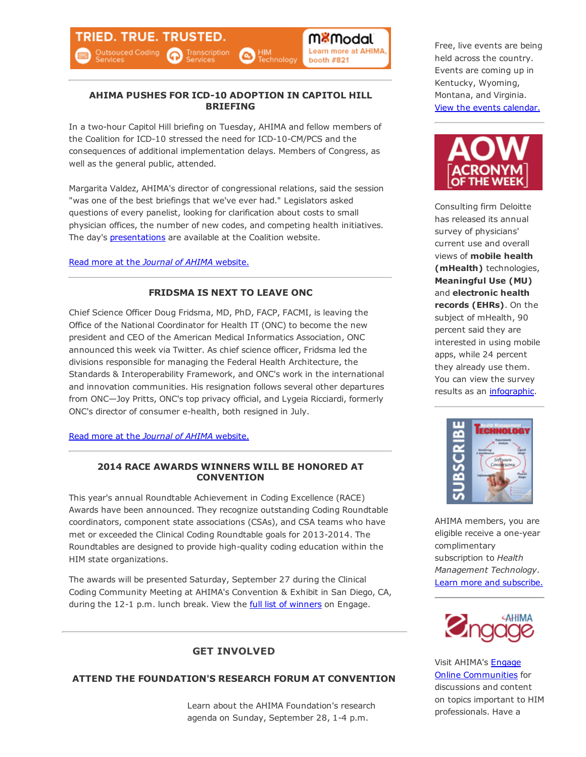#### AHIMA PUSHES FOR ICD-10 ADOPTION IN CAPITOL HILL BRIEFING

In a two-hour Capitol Hill briefing on Tuesday, AHIMA and fellow members of the Coalition for ICD-10 stressed the need for ICD-10-CM/PCS and the consequences of additional implementation delays. Members of Congress, as well as the general public, attended.

Margarita Valdez, AHIMA's director of congressional relations, said the session "was one of the best briefings that we've ever had." Legislators asked questions of every panelist, looking for clarification about costs to small physician offices, the number of new codes, and competing health initiatives. The day's **[presentations](http://coalitionforicd10.org/2014/09/16/capitol-hill-briefing/)** are available at the Coalition website.

Read more at the *Journal of AHIMA* [website.](http://journal.ahima.org/?p=10164)

#### FRIDSMA IS NEXT TO LEAVE ONC

Chief Science Officer Doug Fridsma, MD, PhD, FACP, FACMI, is leaving the Office of the National Coordinator for Health IT (ONC) to become the new president and CEO of the American Medical Informatics Association, ONC announced this week via Twitter. As chief science officer, Fridsma led the divisions responsible for managing the Federal Health Architecture, the Standards & Interoperability Framework, and ONC's work in the international and innovation communities. His resignation follows several other departures from ONC—Joy Pritts, ONC's top privacy official, and Lygeia Ricciardi, formerly ONC's director of consumer ehealth, both resigned in July.

Read more at the *Journal of AHIMA* [website.](http://journal.ahima.org/2014/09/22/fridsma-leaving-onc-for-amia/)

#### 2014 RACE AWARDS WINNERS WILL BE HONORED AT **CONVENTION**

This year's annual Roundtable Achievement in Coding Excellence (RACE) Awards have been announced. They recognize outstanding Coding Roundtable coordinators, component state associations (CSAs), and CSA teams who have met or exceeded the Clinical Coding Roundtable goals for 2013-2014. The Roundtables are designed to provide high-quality coding education within the HIM state organizations.

The awards will be presented Saturday, September 27 during the Clinical Coding Community Meeting at AHIMA's Convention & Exhibit in San Diego, CA, during the 12-1 p.m. lunch break. View the full list of [winners](http://engage.ahima.org/communities/viewdiscussions/viewthread/?GroupId=439&MID=10843) on Engage.

## GET INVOLVED

## ATTEND THE FOUNDATION'S RESEARCH FORUM AT CONVENTION

Learn about the AHIMA Foundation's research agenda on Sunday, September 28, 1-4 p.m.

Free, live events are being held across the country. Events are coming up in Kentucky, Wyoming, Montana, and Virginia. View the events [calendar.](http://www.roadto10.org/events/)



Consulting firm Deloitte has released its annual survey of physicians' current use and overall views of mobile health (mHealth) technologies, Meaningful Use (MU) and electronic health records (EHRs). On the subject of mHealth, 90 percent said they are interested in using mobile apps, while 24 percent they already use them. You can view the survey results as an [infographic](http://www.deloitte.com/us/2014physiciansurvey).



AHIMA members, you are eligible receive a one-year complimentary subscription to *Health Management Technology*. Learn more and [subscribe.](http://www.healthmgttech.com/subscribe)



Visit AHIMA's **Engage** Online [Communities](http://engage.ahima.org/) for discussions and content on topics important to HIM professionals. Have a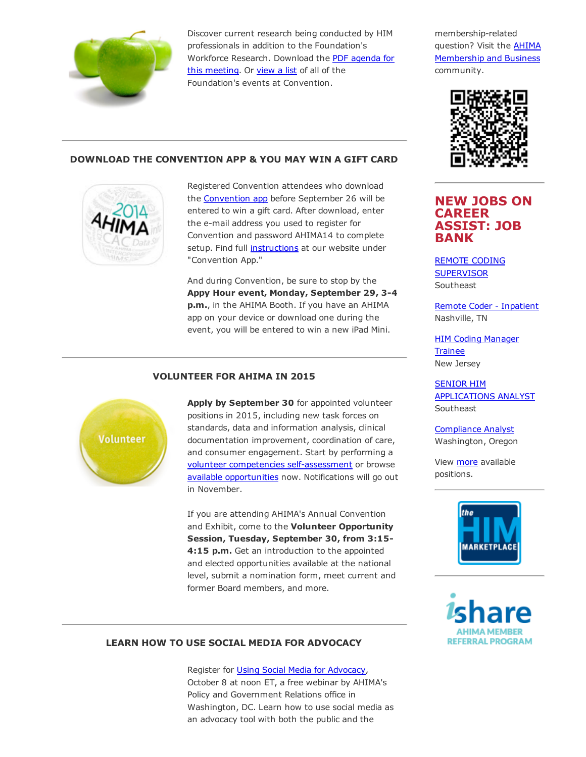

Discover current research being conducted by HIM professionals in addition to the Foundation's [Workforce](http://www.ahimafoundation.org/downloads/pdfs/Research%20Forum%20Agenda%2009-28-14.pdf) Research. Download the PDF agenda for this meeting. Or [view](http://www.ahimafoundation.org/about/FoundationEvents.aspx) a list of all of the Foundation's events at Convention.

membership-related question? Visit the AHIMA [Membership](http://engage.ahima.org/communities/viewcommunities/groupdetails/?CommunityKey=93941d81-3fb0-4301-8fd0-81f6bce5889d) and Business community.



#### DOWNLOAD THE CONVENTION APP & YOU MAY WIN A GIFT CARD



Registered Convention attendees who download the [Convention](http://ddut.ch/ahimacon14) app before September 26 will be entered to win a gift card. After download, enter the e-mail address you used to register for Convention and password AHIMA14 to complete setup. Find full [instructions](http://www.ahima.org/convention/geninfo?tabid=online) at our website under "Convention App."

And during Convention, be sure to stop by the Appy Hour event, Monday, September 29, 3-4 p.m., in the AHIMA Booth. If you have an AHIMA app on your device or download one during the event, you will be entered to win a new iPad Mini.



Apply by September 30 for appointed volunteer positions in 2015, including new task forces on standards, data and information analysis, clinical documentation improvement, coordination of care, and consumer engagement. Start by performing a volunteer competencies self-assessment or browse available [opportunities](http://engage.ahima.org/volunteer/volunteeropportunities) now. Notifications will go out in November.

If you are attending AHIMA's Annual Convention and Exhibit, come to the Volunteer Opportunity Session, Tuesday, September 30, from 3:15 4:15 p.m. Get an introduction to the appointed and elected opportunities available at the national level, submit a nomination form, meet current and former Board members, and more.

## NEW JOBS ON CAREER ASSIST: JOB BANK

REMOTE CODING **[SUPERVISOR](http://careerassist.ahima.org/jobseeker/job/18263799/) Southeast** 

Remote Coder - [Inpatient](http://careerassist.ahima.org/jobseeker/job/15696694/) Nashville, TN

HIM Coding [Manager](http://careerassist.ahima.org/jobseeker/job/20267793/) Trainee New Jersey

SENIOR HIM [APPLICATIONS](http://careerassist.ahima.org/jobseeker/job/18263242/) ANALYST **Southeast** 

[Compliance](http://careerassist.ahima.org/jobseeker/job/20242715/) Analyst Washington, Oregon

View [more](http://careerassist.ahima.org/home/home.cfm?site_id=681) available positions.





#### LEARN HOW TO USE SOCIAL MEDIA FOR ADVOCACY

Register for Using Social Media for [Advocacy](https://ahima.webex.com/ahima/j.php?ED=294553862&RG=1&UID=0&RT=MiMxMQ%3D%3D), October 8 at noon ET, a free webinar by AHIMA's Policy and Government Relations office in Washington, DC. Learn how to use social media as an advocacy tool with both the public and the

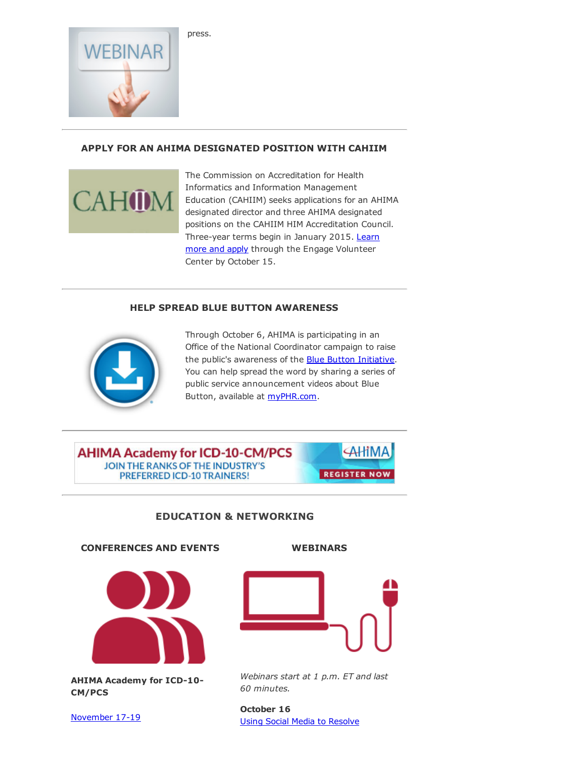

40D

## APPLY FOR AN AHIMA DESIGNATED POSITION WITH CAHIIM

The Commission on Accreditation for Health Informatics and Information Management Education (CAHIIM) seeks applications for an AHIMA designated director and three AHIMA designated positions on the CAHIIM HIM Accreditation Council. Three-year terms begin in January 2015. Learn more and apply through the Engage Volunteer Center by October 15.

#### HELP SPREAD BLUE BUTTON AWARENESS



Through October 6, AHIMA is participating in an Office of the National Coordinator campaign to raise the public's awareness of the **Blue Button [Initiative](http://www.healthit.gov/patients-families/blue-button/about-blue-button)**. You can help spread the word by sharing a series of public service announcement videos about Blue Button, available at [myPHR.com](http://myphr.com/Tools/phrvideos.aspx).

**AHIMA AHIMA Academy for ICD-10-CM/PCS** JOIN THE RANKS OF THE INDUSTRY'S **REGISTER NOW** PREFERRED ICD-10 TRAINERS!

## EDUCATION & NETWORKING

#### CONFERENCES AND EVENTS



AHIMA Academy for ICD-10-CM/PCS

[November](http://www.ahima.org/events/2014nov-icd10academy-chi) 17-19

#### WEBINARS



*Webinars start at 1 p.m. ET and last 60 minutes.*

October 16 Using Social Media to [Resolve](https://www.ahimastore.org/ProductDetailAudioSeminars.aspx?ProductID=17276)